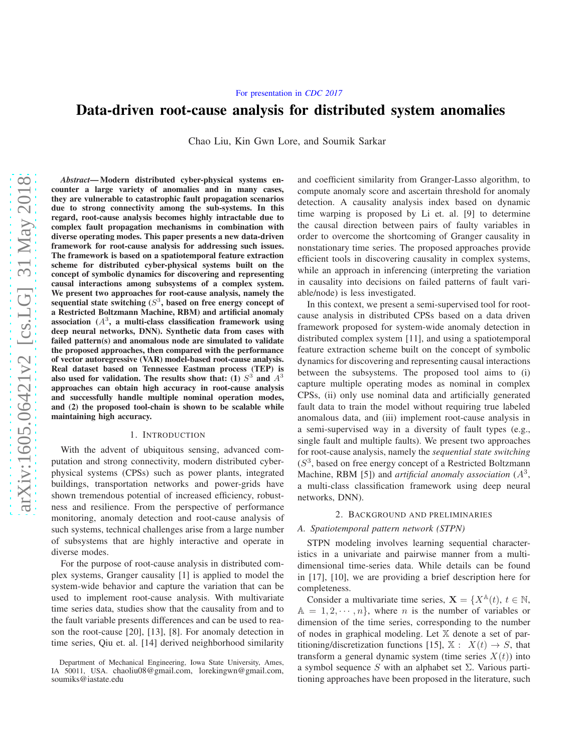# Data-driven root-cause analysis for distributed system anomalies

Chao Liu, Kin Gwn Lore, and Soumik Sarkar

*Abstract*— Modern distributed cyber-physical systems encounter a large variety of anomalies and in many cases, they are vulnerable to catastrophic fault propagation scenarios due to strong connectivity among the sub-systems. In this regard, root-cause analysis becomes highly intractable due to complex fault propagation mechanisms in combination with diverse operating modes. This paper presents a new data-driven framework for root-cause analysis for addressing such issues. The framework is based on a spatiotemporal feature extraction scheme for distributed cyber-physical systems built on the concept of symbolic dynamics for discovering and representing causal interactions among subsystems of a complex system. We present two approaches for root-cause analysis, namely the sequential state switching  $(S^3)$ , based on free energy concept of a Restricted Boltzmann Machine, RBM) and artificial anomaly association  $(A^3$ , a multi-class classification framework using deep neural networks, DNN). Synthetic data from cases with failed pattern(s) and anomalous node are simulated to validate the proposed approaches, then compared with the performance of vector autoregressive (VAR) model-based root-cause analysis. Real dataset based on Tennessee Eastman process (TEP) is also used for validation. The results show that: (1)  $S^3$  and  $A^3$ approaches can obtain high accuracy in root-cause analysis and successfully handle multiple nominal operation modes, and (2) the proposed tool-chain is shown to be scalable while maintaining high accuracy.

## 1. INTRODUCTION

With the advent of ubiquitous sensing, advanced computation and strong connectivity, modern distributed cyberphysical systems (CPSs) such as power plants, integrated buildings, transportation networks and power-grids have shown tremendous potential of increased efficiency, robustness and resilience. From the perspective of performance monitoring, anomaly detection and root-cause analysis of such systems, technical challenges arise from a large number of subsystems that are highly interactive and operate in diverse modes.

For the purpose of root-cause analysis in distributed complex systems, Granger causality [1] is applied to model the system-wide behavior and capture the variation that can be used to implement root-cause analysis. With multivariate time series data, studies show that the causality from and to the fault variable presents differences and can be used to reason the root-cause [20], [13], [8]. For anomaly detection in time series, Qiu et. al. [14] derived neighborhood similarity and coefficient similarity from Granger-Lasso algorithm, to compute anomaly score and ascertain threshold for anomaly detection. A causality analysis index based on dynamic time warping is proposed by Li et. al. [9] to determine the causal direction between pairs of faulty variables in order to overcome the shortcoming of Granger causality in nonstationary time series. The proposed approaches provide efficient tools in discovering causality in complex systems, while an approach in inferencing (interpreting the variation in causality into decisions on failed patterns of fault variable/node) is less investigated.

In this context, we present a semi-supervised tool for rootcause analysis in distributed CPSs based on a data driven framework proposed for system-wide anomaly detection in distributed complex system [11], and using a spatiotemporal feature extraction scheme built on the concept of symbolic dynamics for discovering and representing causal interactions between the subsystems. The proposed tool aims to (i) capture multiple operating modes as nominal in complex CPSs, (ii) only use nominal data and artificially generated fault data to train the model without requiring true labeled anomalous data, and (iii) implement root-cause analysis in a semi-supervised way in a diversity of fault types (e.g., single fault and multiple faults). We present two approaches for root-cause analysis, namely the *sequential state switching*  $(S<sup>3</sup>$ , based on free energy concept of a Restricted Boltzmann Machine, RBM [5]) and *artificial anomaly association* ( $A<sup>3</sup>$ , a multi-class classification framework using deep neural networks, DNN).

# 2. BACKGROUND AND PRELIMINARIES

## <span id="page-0-0"></span>*A. Spatiotemporal pattern network (STPN)*

STPN modeling involves learning sequential characteristics in a univariate and pairwise manner from a multidimensional time-series data. While details can be found in [17], [10], we are providing a brief description here for completeness.

Consider a multivariate time series,  $X = \{X^{\mathbb{A}}(t), t \in \mathbb{N},\}$  $A = 1, 2, \dots, n$ , where *n* is the number of variables or dimension of the time series, corresponding to the number of nodes in graphical modeling. Let X denote a set of partitioning/discretization functions [15],  $X : X(t) \rightarrow S$ , that transform a general dynamic system (time series  $X(t)$ ) into a symbol sequence S with an alphabet set  $\Sigma$ . Various partitioning approaches have been proposed in the literature, such

Department of Mechanical Engineering, Iowa State University, Ames, IA 50011, USA. chaoliu08@gmail.com, lorekingwn@gmail.com, soumiks@iastate.edu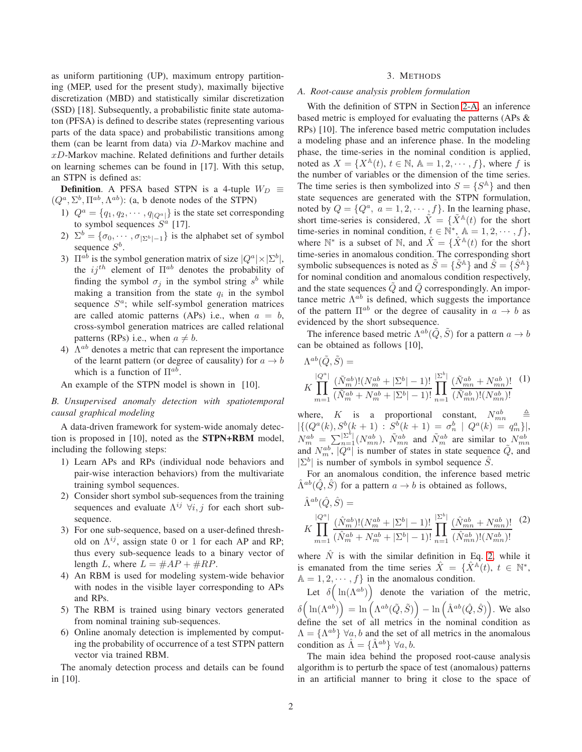as uniform partitioning (UP), maximum entropy partitioning (MEP, used for the present study), maximally bijective discretization (MBD) and statistically similar discretization (SSD) [18]. Subsequently, a probabilistic finite state automaton (PFSA) is defined to describe states (representing various parts of the data space) and probabilistic transitions among them (can be learnt from data) via D-Markov machine and xD-Markov machine. Related definitions and further details on learning schemes can be found in [17]. With this setup, an STPN is defined as:

**Definition.** A PFSA based STPN is a 4-tuple  $W_D \equiv$  $(Q^a, \Sigma^b, \Pi^{ab}, \Lambda^{ab})$ : (a, b denote nodes of the STPN)

- 1)  $Q^a = \{q_1, q_2, \dots, q_{|Q^a|}\}\$ is the state set corresponding to symbol sequences  $S^a$  [17].
- 2)  $\Sigma^b = {\sigma_0, \cdots, \sigma_{|\Sigma^b|-1}}$  is the alphabet set of symbol sequence  $S^b$ .
- 3)  $\Pi^{ab}$  is the symbol generation matrix of size  $|Q^a| \times |\Sigma^b|$ , the  $ij^{th}$  element of  $\Pi^{ab}$  denotes the probability of finding the symbol  $\sigma_j$  in the symbol string  $s^b$  while making a transition from the state  $q_i$  in the symbol sequence  $S^a$ ; while self-symbol generation matrices are called atomic patterns (APs) i.e., when  $a = b$ , cross-symbol generation matrices are called relational patterns (RPs) i.e., when  $a \neq b$ .
- 4)  $\Lambda^{ab}$  denotes a metric that can represent the importance of the learnt pattern (or degree of causality) for  $a \rightarrow b$ which is a function of  $\Pi^{ab}$ .

An example of the STPN model is shown in [10].

*B. Unsupervised anomaly detection with spatiotemporal causal graphical modeling*

A data-driven framework for system-wide anomaly detection is proposed in [10], noted as the STPN+RBM model, including the following steps:

- 1) Learn APs and RPs (individual node behaviors and pair-wise interaction behaviors) from the multivariate training symbol sequences.
- 2) Consider short symbol sub-sequences from the training sequences and evaluate  $\Lambda^{ij}$   $\forall i, j$  for each short subsequence.
- 3) For one sub-sequence, based on a user-defined threshold on  $\Lambda^{ij}$ , assign state 0 or 1 for each AP and RP; thus every sub-sequence leads to a binary vector of length L, where  $L = \#AP + \#RP$ .
- 4) An RBM is used for modeling system-wide behavior with nodes in the visible layer corresponding to APs and RPs.
- 5) The RBM is trained using binary vectors generated from nominal training sub-sequences.
- 6) Online anomaly detection is implemented by computing the probability of occurrence of a test STPN pattern vector via trained RBM.

The anomaly detection process and details can be found in [10].

## 3. METHODS

#### *A. Root-cause analysis problem formulation*

With the definition of STPN in Section [2-A,](#page-0-0) an inference based metric is employed for evaluating the patterns (APs & RPs) [10]. The inference based metric computation includes a modeling phase and an inference phase. In the modeling phase, the time-series in the nominal condition is applied, noted as  $X = \{X^{\mathbb{A}}(t), t \in \mathbb{N}, \mathbb{A} = 1, 2, \cdots, f\}$ , where f is the number of variables or the dimension of the time series. The time series is then symbolized into  $S = \{S^{\mathbb{A}}\}$  and then state sequences are generated with the STPN formulation, noted by  $Q = \{Q^a, a = 1, 2, \dots, f\}$ . In the learning phase, short time-series is considered,  $\tilde{X} = \{ \tilde{X}^{\mathbb{A}}(t) \}$  for the short time-series in nominal condition,  $t \in \mathbb{N}^*$ ,  $\mathbb{A} = 1, 2, \cdots, f$ , where  $\mathbb{N}^*$  is a subset of  $\mathbb{N}$ , and  $\hat{X} = {\hat{X}^{\mathbb{A}}(t)}$  for the short time-series in anomalous condition. The corresponding short symbolic subsequences is noted as  $\tilde{S} = \{\tilde{S}^{\mathbb{A}}\}\$  and  $\hat{S} = \{\hat{S}^{\mathbb{A}}\}\$ for nominal condition and anomalous condition respectively, and the state sequences  $\tilde{Q}$  and  $\bar{Q}$  correspondingly. An importance metric  $\Lambda^{ab}$  is defined, which suggests the importance of the pattern  $\Pi^{ab}$  or the degree of causality in  $a \rightarrow b$  as evidenced by the short subsequence.

The inference based metric  $\Lambda^{ab}(\tilde{Q}, \tilde{S})$  for a pattern  $a \to b$ can be obtained as follows [10],

$$
\Lambda^{ab}(\tilde{Q}, \tilde{S}) =
$$
\n
$$
K \prod_{m=1}^{|Q^{a}|} \frac{(\tilde{N}_{m}^{ab})!(N_{m}^{ab} + |\Sigma^{b}| - 1)!}{(\tilde{N}_{m}^{ab} + N_{m}^{ab} + |\Sigma^{b}| - 1)!} \prod_{n=1}^{|\Sigma^{b}|} \frac{(\tilde{N}_{mn}^{ab} + N_{mn}^{ab})!}{(\tilde{N}_{mn}^{ab})!(N_{mn}^{ab})!} (1)
$$

where, K is a proportional constant,  $N_{mn}^{ab} \triangleq$  $|\{(Q^a(k), S^b(k+1) : S^b(k+1) = \sigma_n^b \mid Q^a(k) = q_m^a\}|,$  $N_m^{ab} = \sum_{n=1}^{\lfloor \Sigma^b \rfloor} (N_{mn}^{ab})$ ,  $\tilde{N}_{mn}^{ab}$  and  $\tilde{N}_m^{ab}$  are similar to  $N_{mn}^{ab}$ and  $N_m^{ab}$ ,  $|Q^a|$  is number of states in state sequence  $\tilde{Q}$ , and  $|\Sigma^b|$  is number of symbols in symbol sequence  $\tilde{S}$ .

For an anomalous condition, the inference based metric  $\hat{\Lambda}^{ab}(\hat{Q}, \hat{S})$  for a pattern  $a \to b$  is obtained as follows,

<span id="page-1-0"></span>
$$
\hat{\Lambda}^{ab}(\hat{Q}, \hat{S}) =
$$
\n
$$
K \prod_{m=1}^{|Q^{a}|} \frac{(\hat{N}_{m}^{ab})!(N_{m}^{ab} + |\Sigma^{b}| - 1)!}{(\hat{N}_{m}^{ab} + N_{m}^{ab} + |\Sigma^{b}| - 1)!} \prod_{n=1}^{|\Sigma^{b}|} \frac{(\hat{N}_{mn}^{ab} + N_{mn}^{ab})!}{(\hat{N}_{mn}^{ab})!(N_{mn}^{ab})!}
$$
\n(2)

where  $\hat{N}$  is with the similar definition in Eq. [2,](#page-1-0) while it is emanated from the time series  $\hat{X} = \{ \hat{X}^{\mathbb{A}}(t), t \in \mathbb{N}^*,$  $A = 1, 2, \dots, f$  in the anomalous condition.

Let  $\delta\left(\ln(\Lambda^{ab})\right)$  denote the variation of the metric,  $\delta\big(\ln(\Lambda^{ab})\big) = \ln\big(\Lambda^{ab}(\tilde{Q},\tilde{S})\big) - \ln\big(\hat{\Lambda}^{ab}(\hat{Q},\hat{S})\big).$  We also define the set of all metrics in the nominal condition as  $\Lambda = {\Lambda^{ab}} \; \forall a, b$  and the set of all metrics in the anomalous condition as  $\hat{\Lambda} = {\hat{\Lambda}^{ab}} \ \forall a, b.$ 

The main idea behind the proposed root-cause analysis algorithm is to perturb the space of test (anomalous) patterns in an artificial manner to bring it close to the space of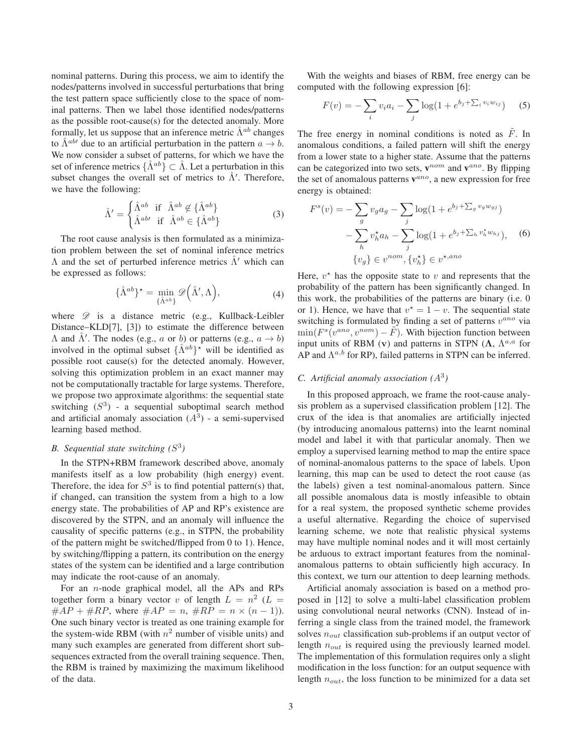nominal patterns. During this process, we aim to identify the nodes/patterns involved in successful perturbations that bring the test pattern space sufficiently close to the space of nominal patterns. Then we label those identified nodes/patterns as the possible root-cause(s) for the detected anomaly. More formally, let us suppose that an inference metric  $\hat{\Lambda}^{ab}$  changes to  $\hat{\Lambda}^{ab}$  due to an artificial perturbation in the pattern  $a \rightarrow b$ . We now consider a subset of patterns, for which we have the set of inference metrics  $\{\hat{\Lambda}^{ab}\}\subset \hat{\Lambda}$ . Let a perturbation in this subset changes the overall set of metrics to  $\hat{\Lambda}'$ . Therefore, we have the following:

$$
\hat{\Lambda}' = \begin{cases} \hat{\Lambda}^{ab} & \text{if } \hat{\Lambda}^{ab} \notin \{\hat{\Lambda}^{ab}\} \\ \hat{\Lambda}^{ab} & \text{if } \hat{\Lambda}^{ab} \in \{\hat{\Lambda}^{ab}\} \end{cases}
$$
 (3)

The root cause analysis is then formulated as a minimization problem between the set of nominal inference metrics  $Λ$  and the set of perturbed inference metrics  $Λ'$  which can be expressed as follows:

$$
\{\hat{\Lambda}^{ab}\}^* = \min_{\{\hat{\Lambda}^{ab}\}} \mathscr{D}\left(\hat{\Lambda}', \Lambda\right),\tag{4}
$$

where  $\mathscr D$  is a distance metric (e.g., Kullback-Leibler Distance–KLD[7], [3]) to estimate the difference between  $\Lambda$  and  $\hat{\Lambda}'$ . The nodes (e.g., a or b) or patterns (e.g.,  $a \to b$ ) involved in the optimal subset  $\{\hat{\Lambda}^{ab}\}^{\star}$  will be identified as possible root cause(s) for the detected anomaly. However, solving this optimization problem in an exact manner may not be computationally tractable for large systems. Therefore, we propose two approximate algorithms: the sequential state switching  $(S^3)$  - a sequential suboptimal search method and artificial anomaly association  $(A<sup>3</sup>)$  - a semi-supervised learning based method.

# *B. Sequential state switching (*S 3 *)*

In the STPN+RBM framework described above, anomaly manifests itself as a low probability (high energy) event. Therefore, the idea for  $S<sup>3</sup>$  is to find potential pattern(s) that, if changed, can transition the system from a high to a low energy state. The probabilities of AP and RP's existence are discovered by the STPN, and an anomaly will influence the causality of specific patterns (e.g., in STPN, the probability of the pattern might be switched/flipped from 0 to 1). Hence, by switching/flipping a pattern, its contribution on the energy states of the system can be identified and a large contribution may indicate the root-cause of an anomaly.

For an n-node graphical model, all the APs and RPs together form a binary vector v of length  $L = n^2$  ( $L =$  $\#AP + \#RP$ , where  $\#AP = n$ ,  $\#RP = n \times (n-1)$ ). One such binary vector is treated as one training example for the system-wide RBM (with  $n^2$  number of visible units) and many such examples are generated from different short subsequences extracted from the overall training sequence. Then, the RBM is trained by maximizing the maximum likelihood of the data.

With the weights and biases of RBM, free energy can be computed with the following expression [6]:

$$
F(v) = -\sum_{i} v_i a_i - \sum_{j} \log(1 + e^{b_j + \sum_i v_i w_{ij}})
$$
 (5)

The free energy in nominal conditions is noted as  $\tilde{F}$ . In anomalous conditions, a failed pattern will shift the energy from a lower state to a higher state. Assume that the patterns can be categorized into two sets,  $v^{nom}$  and  $v^{ano}$ . By flipping the set of anomalous patterns  $v^{ano}$ , a new expression for free energy is obtained:

$$
F^{s}(v) = -\sum_{g} v_{g} a_{g} - \sum_{j} \log(1 + e^{b_{j} + \sum_{g} v_{g} w_{gj}}) - \sum_{h} v_{h}^{*} a_{h} - \sum_{j} \log(1 + e^{b_{j} + \sum_{h} v_{h}^{*} w_{hj}}), \quad (6)
$$

$$
\{v_{g}\} \in v^{nom}, \{v_{h}^{*}\} \in v^{*,ano}
$$

Here,  $v^*$  has the opposite state to v and represents that the probability of the pattern has been significantly changed. In this work, the probabilities of the patterns are binary (i.e. 0 or 1). Hence, we have that  $v^* = 1 - v$ . The sequential state switching is formulated by finding a set of patterns  $v^{ano}$  via  $\min(F^s(v^{ano}, v^{nom}) - \tilde{F})$ . With bijection function between input units of RBM (v) and patterns in STPN  $($  $\Lambda$ ,  $\Lambda^{a,a}$  for AP and  $\Lambda^{a,b}$  for RP), failed patterns in STPN can be inferred.

# *C.* Artificial anomaly association  $(A^3)$

In this proposed approach, we frame the root-cause analysis problem as a supervised classification problem [12]. The crux of the idea is that anomalies are artificially injected (by introducing anomalous patterns) into the learnt nominal model and label it with that particular anomaly. Then we employ a supervised learning method to map the entire space of nominal-anomalous patterns to the space of labels. Upon learning, this map can be used to detect the root cause (as the labels) given a test nominal-anomalous pattern. Since all possible anomalous data is mostly infeasible to obtain for a real system, the proposed synthetic scheme provides a useful alternative. Regarding the choice of supervised learning scheme, we note that realistic physical systems may have multiple nominal nodes and it will most certainly be arduous to extract important features from the nominalanomalous patterns to obtain sufficiently high accuracy. In this context, we turn our attention to deep learning methods.

Artificial anomaly association is based on a method proposed in [12] to solve a multi-label classification problem using convolutional neural networks (CNN). Instead of inferring a single class from the trained model, the framework solves  $n_{out}$  classification sub-problems if an output vector of length  $n_{out}$  is required using the previously learned model. The implementation of this formulation requires only a slight modification in the loss function: for an output sequence with length  $n_{out}$ , the loss function to be minimized for a data set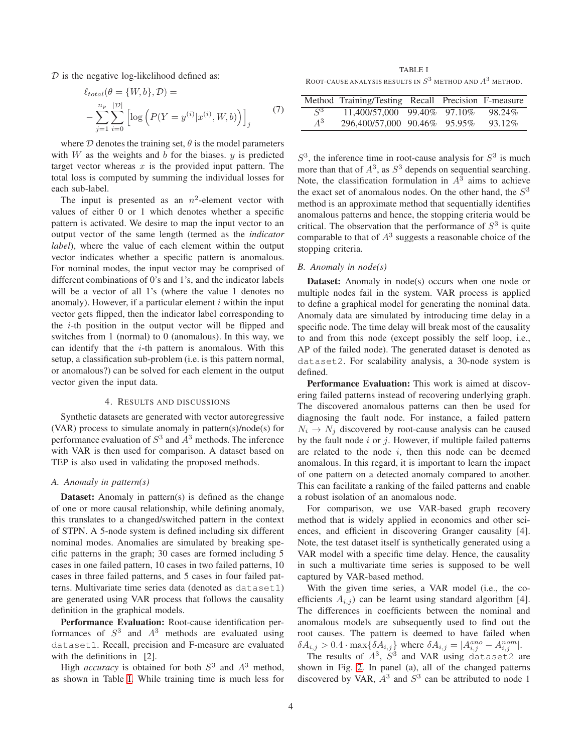$D$  is the negative log-likelihood defined as:

$$
\ell_{total}(\theta = \{W, b\}, \mathcal{D}) =
$$
  
-
$$
\sum_{j=1}^{n_p} \sum_{i=0}^{|\mathcal{D}|} \left[ \log \left( P(Y = y^{(i)} | x^{(i)}, W, b) \right) \right]_{j}
$$
 (7)

where  $D$  denotes the training set,  $\theta$  is the model parameters with  $W$  as the weights and  $b$  for the biases.  $y$  is predicted target vector whereas  $x$  is the provided input pattern. The total loss is computed by summing the individual losses for each sub-label.

The input is presented as an  $n^2$ -element vector with values of either 0 or 1 which denotes whether a specific pattern is activated. We desire to map the input vector to an output vector of the same length (termed as the *indicator label*), where the value of each element within the output vector indicates whether a specific pattern is anomalous. For nominal modes, the input vector may be comprised of different combinations of 0's and 1's, and the indicator labels will be a vector of all 1's (where the value 1 denotes no anomaly). However, if a particular element  $i$  within the input vector gets flipped, then the indicator label corresponding to the  $i$ -th position in the output vector will be flipped and switches from 1 (normal) to 0 (anomalous). In this way, we can identify that the  $i$ -th pattern is anomalous. With this setup, a classification sub-problem (i.e. is this pattern normal, or anomalous?) can be solved for each element in the output vector given the input data.

# 4. RESULTS AND DISCUSSIONS

Synthetic datasets are generated with vector autoregressive (VAR) process to simulate anomaly in pattern(s)/node(s) for performance evaluation of  $S^3$  and  $A^3$  methods. The inference with VAR is then used for comparison. A dataset based on TEP is also used in validating the proposed methods.

# <span id="page-3-1"></span>*A. Anomaly in pattern(s)*

Dataset: Anomaly in pattern(s) is defined as the change of one or more causal relationship, while defining anomaly, this translates to a changed/switched pattern in the context of STPN. A 5-node system is defined including six different nominal modes. Anomalies are simulated by breaking specific patterns in the graph; 30 cases are formed including 5 cases in one failed pattern, 10 cases in two failed patterns, 10 cases in three failed patterns, and 5 cases in four failed patterns. Multivariate time series data (denoted as dataset1) are generated using VAR process that follows the causality definition in the graphical models.

Performance Evaluation: Root-cause identification performances of  $S^3$  and  $A^3$  methods are evaluated using dataset1. Recall, precision and F-measure are evaluated with the definitions in [2].

High *accuracy* is obtained for both  $S<sup>3</sup>$  and  $A<sup>3</sup>$  method, as shown in Table [I.](#page-3-0) While training time is much less for

<span id="page-3-0"></span>TABLE I ROOT-CAUSE ANALYSIS RESULTS IN  $S^3$  method and  $A^3$  method.

|       | Method Training/Testing Recall Precision F-measure |  |        |
|-------|----------------------------------------------------|--|--------|
| $S^3$ | 11.400/57.000 99.40\% 97.10\%                      |  | 98.24% |
| $A^3$ | 296.400/57.000 90.46% 95.95%                       |  | 93.12% |

 $S<sup>3</sup>$ , the inference time in root-cause analysis for  $S<sup>3</sup>$  is much more than that of  $A^3$ , as  $S^3$  depends on sequential searching. Note, the classification formulation in  $A<sup>3</sup>$  aims to achieve the exact set of anomalous nodes. On the other hand, the  $S<sup>3</sup>$ method is an approximate method that sequentially identifies anomalous patterns and hence, the stopping criteria would be critical. The observation that the performance of  $S<sup>3</sup>$  is quite comparable to that of  $A<sup>3</sup>$  suggests a reasonable choice of the stopping criteria.

### *B. Anomaly in node(s)*

Dataset: Anomaly in node(s) occurs when one node or multiple nodes fail in the system. VAR process is applied to define a graphical model for generating the nominal data. Anomaly data are simulated by introducing time delay in a specific node. The time delay will break most of the causality to and from this node (except possibly the self loop, i.e., AP of the failed node). The generated dataset is denoted as dataset2. For scalability analysis, a 30-node system is defined.

Performance Evaluation: This work is aimed at discovering failed patterns instead of recovering underlying graph. The discovered anomalous patterns can then be used for diagnosing the fault node. For instance, a failed pattern  $N_i \rightarrow N_j$  discovered by root-cause analysis can be caused by the fault node  $i$  or  $j$ . However, if multiple failed patterns are related to the node  $i$ , then this node can be deemed anomalous. In this regard, it is important to learn the impact of one pattern on a detected anomaly compared to another. This can facilitate a ranking of the failed patterns and enable a robust isolation of an anomalous node.

For comparison, we use VAR-based graph recovery method that is widely applied in economics and other sciences, and efficient in discovering Granger causality [4]. Note, the test dataset itself is synthetically generated using a VAR model with a specific time delay. Hence, the causality in such a multivariate time series is supposed to be well captured by VAR-based method.

With the given time series, a VAR model (i.e., the coefficients  $A_{i,j}$ ) can be learnt using standard algorithm [4]. The differences in coefficients between the nominal and anomalous models are subsequently used to find out the root causes. The pattern is deemed to have failed when  $\delta A_{i,j} > 0.4 \cdot \max\{\delta A_{i,j}\}\$  where  $\delta A_{i,j} = |A_{i,j}^{ano} - A_{i,j}^{nom}|.$ 

The results of  $A^3$ ,  $S^3$  and VAR using dataset2 are shown in Fig. [2.](#page-4-0) In panel (a), all of the changed patterns discovered by VAR,  $A^3$  and  $S^3$  can be attributed to node 1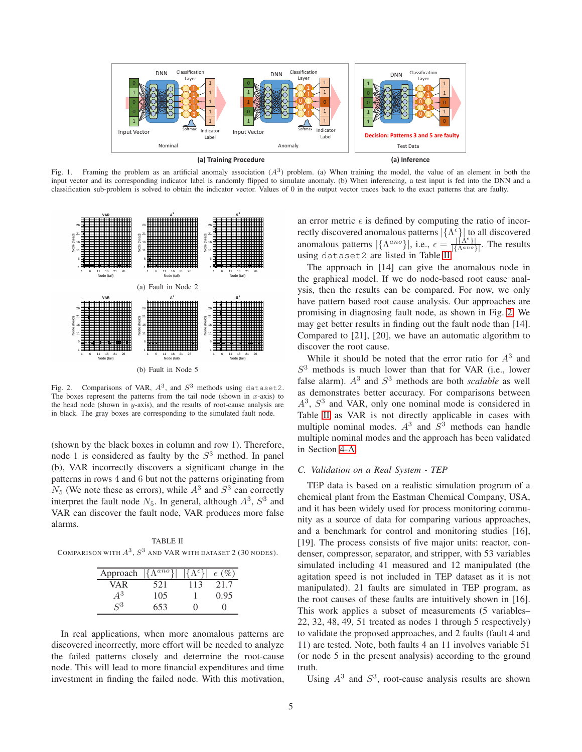

Fig. 1. Framing the problem as an artificial anomaly association  $(A^3)$  problem. (a) When training the model, the value of an element in both the input vector and its corresponding indicator label is randomly flipped to simulate anomaly. (b) When inferencing, a test input is fed into the DNN and a classification sub-problem is solved to obtain the indicator vector. Values of 0 in the output vector traces back to the exact patterns that are faulty.



<span id="page-4-0"></span>Fig. 2. Comparisons of VAR,  $A^3$ , and  $S^3$  methods using dataset2. The boxes represent the patterns from the tail node (shown in  $x$ -axis) to the head node (shown in  $y$ -axis), and the results of root-cause analysis are in black. The gray boxes are corresponding to the simulated fault node.

(shown by the black boxes in column and row 1). Therefore, node 1 is considered as faulty by the  $S<sup>3</sup>$  method. In panel (b), VAR incorrectly discovers a significant change in the patterns in rows 4 and 6 but not the patterns originating from  $N_5$  (We note these as errors), while  $A^3$  and  $S^3$  can correctly interpret the fault node  $N_5$ . In general, although  $A^3$ ,  $S^3$  and VAR can discover the fault node, VAR produces more false alarms.

<span id="page-4-1"></span>TABLE II COMPARISON WITH  $A^3$ ,  $S^3$  and VAR with dataset 2 (30 nodes).

| Approach | ano <sup>1</sup> | $\{\Lambda^{\epsilon}\}\$ | $\epsilon$ (%) |
|----------|------------------|---------------------------|----------------|
| VAR.     | 521              | 113                       | 21.7           |
| $A^3$    | 105              |                           | 0.95           |
| $S^3$    | 653              | 0                         |                |

In real applications, when more anomalous patterns are discovered incorrectly, more effort will be needed to analyze the failed patterns closely and determine the root-cause node. This will lead to more financial expenditures and time investment in finding the failed node. With this motivation, an error metric  $\epsilon$  is defined by computing the ratio of incorrectly discovered anomalous patterns  $|\{\Lambda^{\epsilon}\}\rangle$  to all discovered anomalous patterns  $|\{\Lambda^{ano}\}\|$ , i.e.,  $\epsilon = \frac{|\{\Lambda^{\epsilon}\}|}{|\{\Lambda^{ano}\}\|}$ . The results using dataset2 are listed in Table [II.](#page-4-1)

The approach in [14] can give the anomalous node in the graphical model. If we do node-based root cause analysis, then the results can be compared. For now, we only have pattern based root cause analysis. Our approaches are promising in diagnosing fault node, as shown in Fig. [2.](#page-4-0) We may get better results in finding out the fault node than [14]. Compared to [21], [20], we have an automatic algorithm to discover the root cause.

While it should be noted that the error ratio for  $A<sup>3</sup>$  and  $S<sup>3</sup>$  methods is much lower than that for VAR (i.e., lower false alarm).  $A<sup>3</sup>$  and  $S<sup>3</sup>$  methods are both *scalable* as well as demonstrates better accuracy. For comparisons between  $A<sup>3</sup>$ ,  $S<sup>3</sup>$  and VAR, only one nominal mode is considered in Table [II](#page-4-1) as VAR is not directly applicable in cases with multiple nominal modes.  $A^3$  and  $S^3$  methods can handle multiple nominal modes and the approach has been validated in Section [4-A.](#page-3-1)

# *C. Validation on a Real System - TEP*

TEP data is based on a realistic simulation program of a chemical plant from the Eastman Chemical Company, USA, and it has been widely used for process monitoring community as a source of data for comparing various approaches, and a benchmark for control and monitoring studies [16], [19]. The process consists of five major units: reactor, condenser, compressor, separator, and stripper, with 53 variables simulated including 41 measured and 12 manipulated (the agitation speed is not included in TEP dataset as it is not manipulated). 21 faults are simulated in TEP program, as the root causes of these faults are intuitively shown in [16]. This work applies a subset of measurements (5 variables– 22, 32, 48, 49, 51 treated as nodes 1 through 5 respectively) to validate the proposed approaches, and 2 faults (fault 4 and 11) are tested. Note, both faults 4 an 11 involves variable 51 (or node 5 in the present analysis) according to the ground truth.

Using  $A^3$  and  $S^3$ , root-cause analysis results are shown